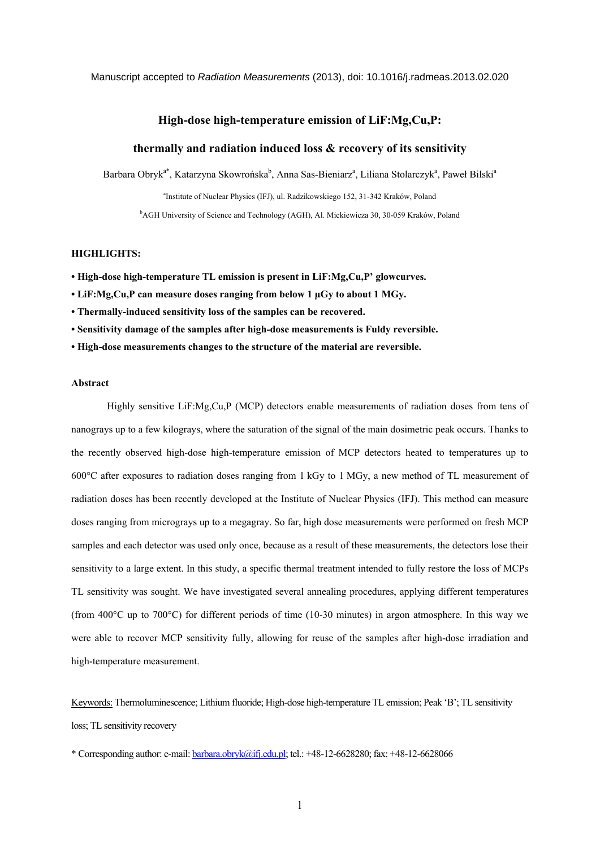#### Manuscript accepted to *Radiation Measurements* (2013), doi: 10.1016/j.radmeas.2013.02.020

## **High-dose high-temperature emission of LiF:Mg,Cu,P:**

# **thermally and radiation induced loss & recovery of its sensitivity**

Barbara Obryk<sup>a\*</sup>, Katarzyna Skowrońska<sup>b</sup>, Anna Sas-Bieniarz<sup>a</sup>, Liliana Stolarczyk<sup>a</sup>, Paweł Bilski<sup>a</sup>

a Institute of Nuclear Physics (IFJ), ul. Radzikowskiego 152, 31-342 Kraków, Poland

<sup>b</sup>AGH University of Science and Technology (AGH), Al. Mickiewicza 30, 30-059 Kraków, Poland

# **HIGHLIGHTS:**

**• High-dose high-temperature TL emission is present in LiF:Mg,Cu,P' glowcurves.** 

**• LiF:Mg,Cu,P can measure doses ranging from below 1 μGy to about 1 MGy.** 

**• Thermally-induced sensitivity loss of the samples can be recovered.** 

**• Sensitivity damage of the samples after high-dose measurements is Fuldy reversible.** 

**• High-dose measurements changes to the structure of the material are reversible.** 

### **Abstract**

Highly sensitive LiF:Mg,Cu,P (MCP) detectors enable measurements of radiation doses from tens of nanograys up to a few kilograys, where the saturation of the signal of the main dosimetric peak occurs. Thanks to the recently observed high-dose high-temperature emission of MCP detectors heated to temperatures up to 600°C after exposures to radiation doses ranging from 1 kGy to 1 MGy, a new method of TL measurement of radiation doses has been recently developed at the Institute of Nuclear Physics (IFJ). This method can measure doses ranging from micrograys up to a megagray. So far, high dose measurements were performed on fresh MCP samples and each detector was used only once, because as a result of these measurements, the detectors lose their sensitivity to a large extent. In this study, a specific thermal treatment intended to fully restore the loss of MCPs TL sensitivity was sought. We have investigated several annealing procedures, applying different temperatures (from 400°C up to 700°C) for different periods of time (10-30 minutes) in argon atmosphere. In this way we were able to recover MCP sensitivity fully, allowing for reuse of the samples after high-dose irradiation and high-temperature measurement.

Keywords: Thermoluminescence; Lithium fluoride; High-dose high-temperature TL emission; Peak 'B'; TL sensitivity loss; TL sensitivity recovery

\* Corresponding author: e-mail: [barbara.obryk@ifj.edu.pl;](mailto:barbara.obryk@ifj.edu.pl) tel.: +48-12-6628280; fax: +48-12-6628066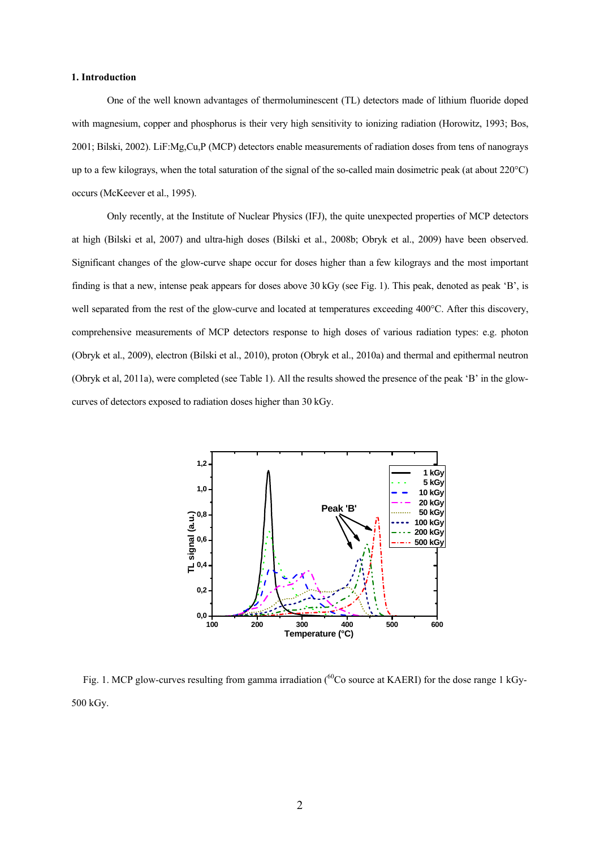### **1. Introduction**

One of the well known advantages of thermoluminescent (TL) detectors made of lithium fluoride doped with magnesium, copper and phosphorus is their very high sensitivity to ionizing radiation (Horowitz, 1993; Bos, 2001; Bilski, 2002). LiF:Mg,Cu,P (MCP) detectors enable measurements of radiation doses from tens of nanograys up to a few kilograys, when the total saturation of the signal of the so-called main dosimetric peak (at about 220°C) occurs (McKeever et al., 1995).

Only recently, at the Institute of Nuclear Physics (IFJ), the quite unexpected properties of MCP detectors at high (Bilski et al, 2007) and ultra-high doses (Bilski et al., 2008b; Obryk et al., 2009) have been observed. Significant changes of the glow-curve shape occur for doses higher than a few kilograys and the most important finding is that a new, intense peak appears for doses above 30 kGy (see Fig. 1). This peak, denoted as peak 'B', is well separated from the rest of the glow-curve and located at temperatures exceeding 400°C. After this discovery, comprehensive measurements of MCP detectors response to high doses of various radiation types: e.g. photon (Obryk et al., 2009), electron (Bilski et al., 2010), proton (Obryk et al., 2010a) and thermal and epithermal neutron (Obryk et al, 2011a), were completed (see Table 1). All the results showed the presence of the peak 'B' in the glowcurves of detectors exposed to radiation doses higher than 30 kGy.



Fig. 1. MCP glow-curves resulting from gamma irradiation (<sup>60</sup>Co source at KAERI) for the dose range 1 kGy-500 kGy.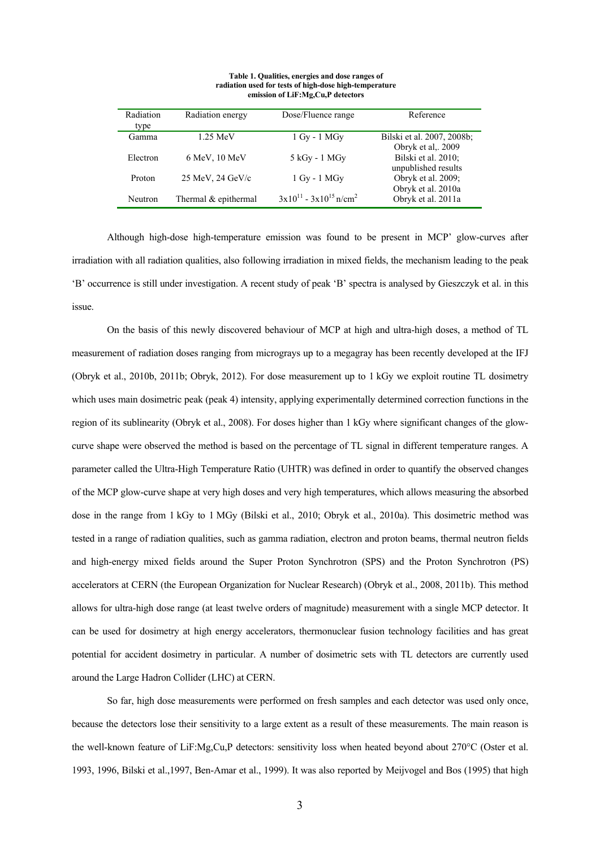| Radiation      | Radiation energy     | Dose/Fluence range                        | Reference                  |
|----------------|----------------------|-------------------------------------------|----------------------------|
| type           |                      |                                           |                            |
| Gamma          | $1.25$ MeV           | $1$ Gy - $1$ MGy                          | Bilski et al. 2007, 2008b; |
|                |                      |                                           | Obryk et al, 2009          |
| Electron       | $6$ MeV, $10$ MeV    | 5 kGy - 1 MGy                             | Bilski et al. 2010;        |
|                |                      |                                           | unpublished results        |
| Proton         | $25$ MeV, $24$ GeV/c | $1$ Gy - $1$ MGy                          | Obryk et al. 2009;         |
|                |                      |                                           | Obryk et al. 2010a         |
| <b>Neutron</b> | Thermal & epithermal | $3x10^{11} - 3x10^{15}$ n/cm <sup>2</sup> | Obryk et al. 2011a         |

**Table 1. Qualities, energies and dose ranges of radiation used for tests of high-dose high-temperature emission of LiF:Mg,Cu,P detectors** 

Although high-dose high-temperature emission was found to be present in MCP' glow-curves after irradiation with all radiation qualities, also following irradiation in mixed fields, the mechanism leading to the peak 'B' occurrence is still under investigation. A recent study of peak 'B' spectra is analysed by Gieszczyk et al. in this issue.

On the basis of this newly discovered behaviour of MCP at high and ultra-high doses, a method of TL measurement of radiation doses ranging from micrograys up to a megagray has been recently developed at the IFJ (Obryk et al., 2010b, 2011b; Obryk, 2012). For dose measurement up to 1 kGy we exploit routine TL dosimetry which uses main dosimetric peak (peak 4) intensity, applying experimentally determined correction functions in the region of its sublinearity (Obryk et al., 2008). For doses higher than 1 kGy where significant changes of the glowcurve shape were observed the method is based on the percentage of TL signal in different temperature ranges. A parameter called the Ultra-High Temperature Ratio (UHTR) was defined in order to quantify the observed changes of the MCP glow-curve shape at very high doses and very high temperatures, which allows measuring the absorbed dose in the range from 1 kGy to 1 MGy (Bilski et al., 2010; Obryk et al., 2010a). This dosimetric method was tested in a range of radiation qualities, such as gamma radiation, electron and proton beams, thermal neutron fields and high-energy mixed fields around the Super Proton Synchrotron (SPS) and the Proton Synchrotron (PS) accelerators at CERN (the European Organization for Nuclear Research) (Obryk et al., 2008, 2011b). This method allows for ultra-high dose range (at least twelve orders of magnitude) measurement with a single MCP detector. It can be used for dosimetry at high energy accelerators, thermonuclear fusion technology facilities and has great potential for accident dosimetry in particular. A number of dosimetric sets with TL detectors are currently used around the Large Hadron Collider (LHC) at CERN.

So far, high dose measurements were performed on fresh samples and each detector was used only once, because the detectors lose their sensitivity to a large extent as a result of these measurements. The main reason is the well-known feature of LiF:Mg,Cu,P detectors: sensitivity loss when heated beyond about 270°C (Oster et al. 1993, 1996, Bilski et al.,1997, Ben-Amar et al., 1999). It was also reported by Meijvogel and Bos (1995) that high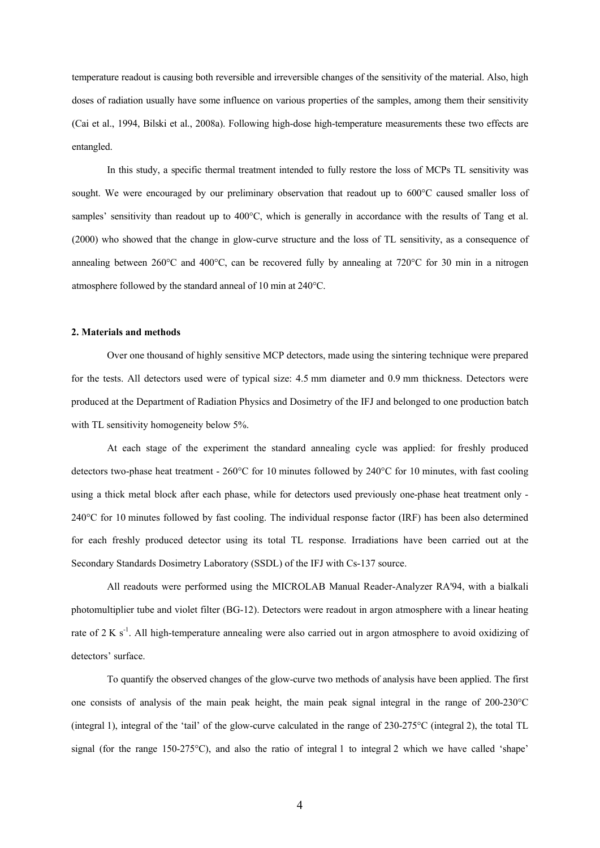temperature readout is causing both reversible and irreversible changes of the sensitivity of the material. Also, high doses of radiation usually have some influence on various properties of the samples, among them their sensitivity (Cai et al., 1994, Bilski et al., 2008a). Following high-dose high-temperature measurements these two effects are entangled.

In this study, a specific thermal treatment intended to fully restore the loss of MCPs TL sensitivity was sought. We were encouraged by our preliminary observation that readout up to 600°C caused smaller loss of samples' sensitivity than readout up to 400°C, which is generally in accordance with the results of Tang et al. (2000) who showed that the change in glow-curve structure and the loss of TL sensitivity, as a consequence of annealing between 260°C and 400°C, can be recovered fully by annealing at 720°C for 30 min in a nitrogen atmosphere followed by the standard anneal of 10 min at 240°C.

#### **2. Materials and methods**

Over one thousand of highly sensitive MCP detectors, made using the sintering technique were prepared for the tests. All detectors used were of typical size: 4.5 mm diameter and 0.9 mm thickness. Detectors were produced at the Department of Radiation Physics and Dosimetry of the IFJ and belonged to one production batch with TL sensitivity homogeneity below 5%.

At each stage of the experiment the standard annealing cycle was applied: for freshly produced detectors two-phase heat treatment - 260°C for 10 minutes followed by 240°C for 10 minutes, with fast cooling using a thick metal block after each phase, while for detectors used previously one-phase heat treatment only - 240°C for 10 minutes followed by fast cooling. The individual response factor (IRF) has been also determined for each freshly produced detector using its total TL response. Irradiations have been carried out at the Secondary Standards Dosimetry Laboratory (SSDL) of the IFJ with Cs-137 source.

All readouts were performed using the MICROLAB Manual Reader-Analyzer RA'94, with a bialkali photomultiplier tube and violet filter (BG-12). Detectors were readout in argon atmosphere with a linear heating rate of 2 K s<sup>-1</sup>. All high-temperature annealing were also carried out in argon atmosphere to avoid oxidizing of detectors' surface.

To quantify the observed changes of the glow-curve two methods of analysis have been applied. The first one consists of analysis of the main peak height, the main peak signal integral in the range of 200-230°C (integral 1), integral of the 'tail' of the glow-curve calculated in the range of  $230{\text -}275^{\circ}\text{C}$  (integral 2), the total TL signal (for the range 150-275°C), and also the ratio of integral 1 to integral 2 which we have called 'shape'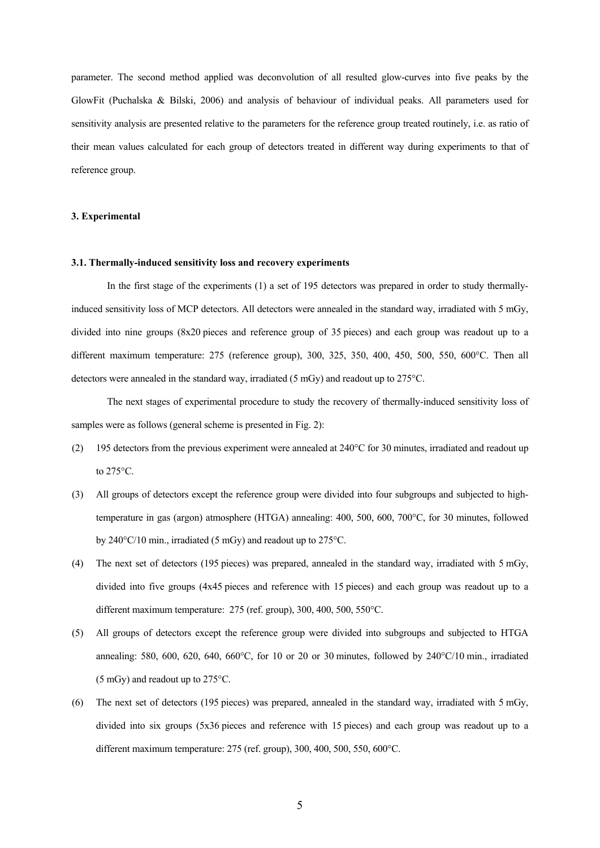parameter. The second method applied was deconvolution of all resulted glow-curves into five peaks by the GlowFit (Puchalska & Bilski, 2006) and analysis of behaviour of individual peaks. All parameters used for sensitivity analysis are presented relative to the parameters for the reference group treated routinely, i.e. as ratio of their mean values calculated for each group of detectors treated in different way during experiments to that of reference group.

## **3. Experimental**

### **3.1. Thermally-induced sensitivity loss and recovery experiments**

In the first stage of the experiments (1) a set of 195 detectors was prepared in order to study thermallyinduced sensitivity loss of MCP detectors. All detectors were annealed in the standard way, irradiated with 5 mGy, divided into nine groups (8x20 pieces and reference group of 35 pieces) and each group was readout up to a different maximum temperature: 275 (reference group), 300, 325, 350, 400, 450, 500, 550, 600°C. Then all detectors were annealed in the standard way, irradiated (5 mGy) and readout up to 275°C.

The next stages of experimental procedure to study the recovery of thermally-induced sensitivity loss of samples were as follows (general scheme is presented in Fig. 2):

- (2) 195 detectors from the previous experiment were annealed at 240°C for 30 minutes, irradiated and readout up to 275°C.
- (3) All groups of detectors except the reference group were divided into four subgroups and subjected to hightemperature in gas (argon) atmosphere (HTGA) annealing: 400, 500, 600, 700°C, for 30 minutes, followed by 240°C/10 min., irradiated (5 mGy) and readout up to 275°C.
- (4) The next set of detectors (195 pieces) was prepared, annealed in the standard way, irradiated with 5 mGy, divided into five groups (4x45 pieces and reference with 15 pieces) and each group was readout up to a different maximum temperature: 275 (ref. group), 300, 400, 500, 550°C.
- (5) All groups of detectors except the reference group were divided into subgroups and subjected to HTGA annealing: 580, 600, 620, 640, 660°C, for 10 or 20 or 30 minutes, followed by 240°C/10 min., irradiated (5 mGy) and readout up to 275°C.
- (6) The next set of detectors (195 pieces) was prepared, annealed in the standard way, irradiated with 5 mGy, divided into six groups (5x36 pieces and reference with 15 pieces) and each group was readout up to a different maximum temperature: 275 (ref. group), 300, 400, 500, 550, 600°C.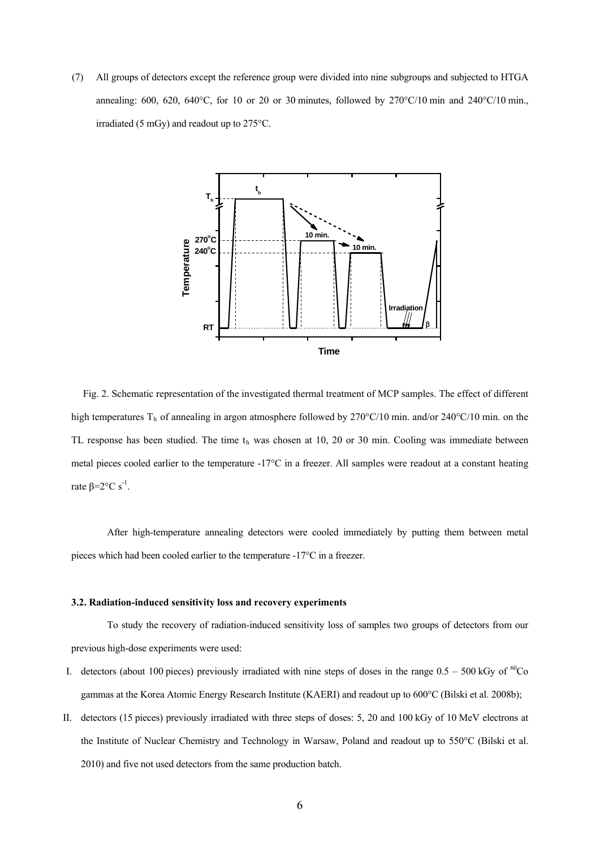(7) All groups of detectors except the reference group were divided into nine subgroups and subjected to HTGA annealing: 600, 620, 640°C, for 10 or 20 or 30 minutes, followed by  $270^{\circ}C/10$  min and  $240^{\circ}C/10$  min., irradiated (5 mGy) and readout up to 275°C.



Fig. 2. Schematic representation of the investigated thermal treatment of MCP samples. The effect of different high temperatures T<sub>h</sub> of annealing in argon atmosphere followed by 270°C/10 min. and/or 240°C/10 min. on the TL response has been studied. The time  $t<sub>h</sub>$  was chosen at 10, 20 or 30 min. Cooling was immediate between metal pieces cooled earlier to the temperature  $-17^{\circ}\text{C}$  in a freezer. All samples were readout at a constant heating rate  $β=2°C s<sup>-1</sup>$ .

After high-temperature annealing detectors were cooled immediately by putting them between metal pieces which had been cooled earlier to the temperature -17°C in a freezer.

### **3.2. Radiation-induced sensitivity loss and recovery experiments**

To study the recovery of radiation-induced sensitivity loss of samples two groups of detectors from our previous high-dose experiments were used:

- I. detectors (about 100 pieces) previously irradiated with nine steps of doses in the range  $0.5 500$  kGy of  ${}^{60}Co$ gammas at the Korea Atomic Energy Research Institute (KAERI) and readout up to 600°C (Bilski et al. 2008b);
- II. detectors (15 pieces) previously irradiated with three steps of doses: 5, 20 and 100 kGy of 10 MeV electrons at the Institute of Nuclear Chemistry and Technology in Warsaw, Poland and readout up to 550°C (Bilski et al. 2010) and five not used detectors from the same production batch.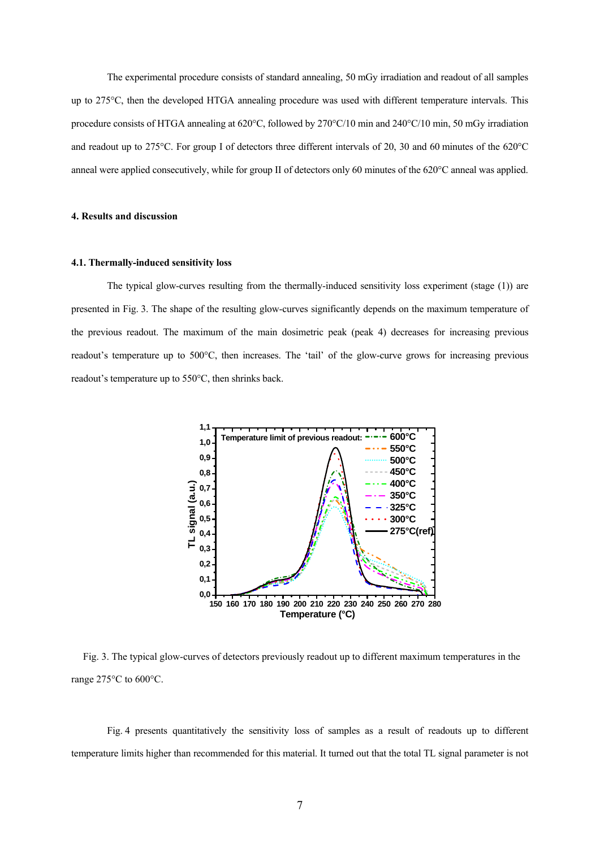The experimental procedure consists of standard annealing, 50 mGy irradiation and readout of all samples up to 275°C, then the developed HTGA annealing procedure was used with different temperature intervals. This procedure consists of HTGA annealing at 620°C, followed by 270°C/10 min and 240°C/10 min, 50 mGy irradiation and readout up to 275°C. For group I of detectors three different intervals of 20, 30 and 60 minutes of the 620°C anneal were applied consecutively, while for group II of detectors only 60 minutes of the 620°C anneal was applied.

## **4. Results and discussion**

#### **4.1. Thermally-induced sensitivity loss**

The typical glow-curves resulting from the thermally-induced sensitivity loss experiment (stage (1)) are presented in Fig. 3. The shape of the resulting glow-curves significantly depends on the maximum temperature of the previous readout. The maximum of the main dosimetric peak (peak 4) decreases for increasing previous readout's temperature up to 500°C, then increases. The 'tail' of the glow-curve grows for increasing previous readout's temperature up to 550°C, then shrinks back.



Fig. 3. The typical glow-curves of detectors previously readout up to different maximum temperatures in the range 275°C to 600°C.

Fig. 4 presents quantitatively the sensitivity loss of samples as a result of readouts up to different temperature limits higher than recommended for this material. It turned out that the total TL signal parameter is not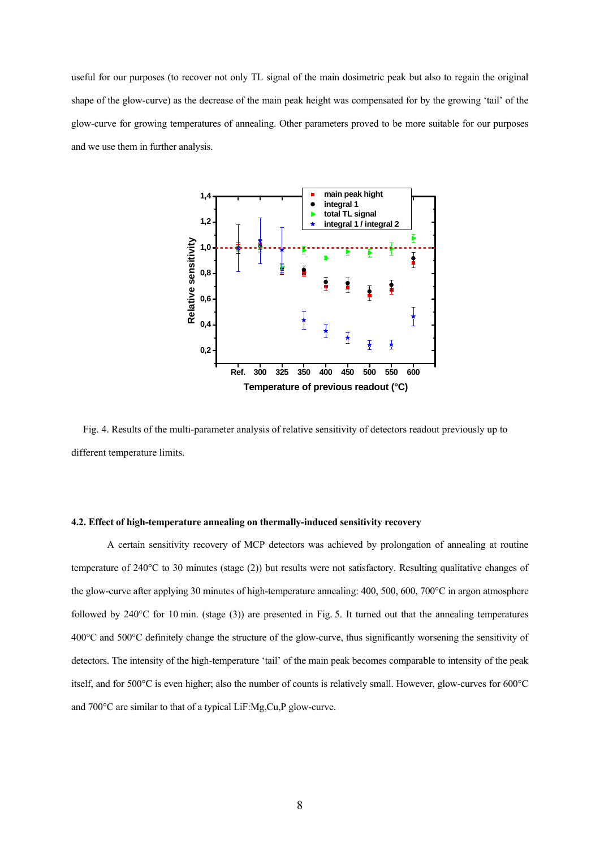useful for our purposes (to recover not only TL signal of the main dosimetric peak but also to regain the original shape of the glow-curve) as the decrease of the main peak height was compensated for by the growing 'tail' of the glow-curve for growing temperatures of annealing. Other parameters proved to be more suitable for our purposes and we use them in further analysis.



Fig. 4. Results of the multi-parameter analysis of relative sensitivity of detectors readout previously up to different temperature limits.

### **4.2. Effect of high-temperature annealing on thermally-induced sensitivity recovery**

A certain sensitivity recovery of MCP detectors was achieved by prolongation of annealing at routine temperature of 240°C to 30 minutes (stage (2)) but results were not satisfactory. Resulting qualitative changes of the glow-curve after applying 30 minutes of high-temperature annealing: 400, 500, 600, 700°C in argon atmosphere followed by  $240^{\circ}$ C for 10 min. (stage (3)) are presented in Fig. 5. It turned out that the annealing temperatures 400°C and 500°C definitely change the structure of the glow-curve, thus significantly worsening the sensitivity of detectors. The intensity of the high-temperature 'tail' of the main peak becomes comparable to intensity of the peak itself, and for 500°C is even higher; also the number of counts is relatively small. However, glow-curves for 600°C and 700°C are similar to that of a typical LiF:Mg,Cu,P glow-curve.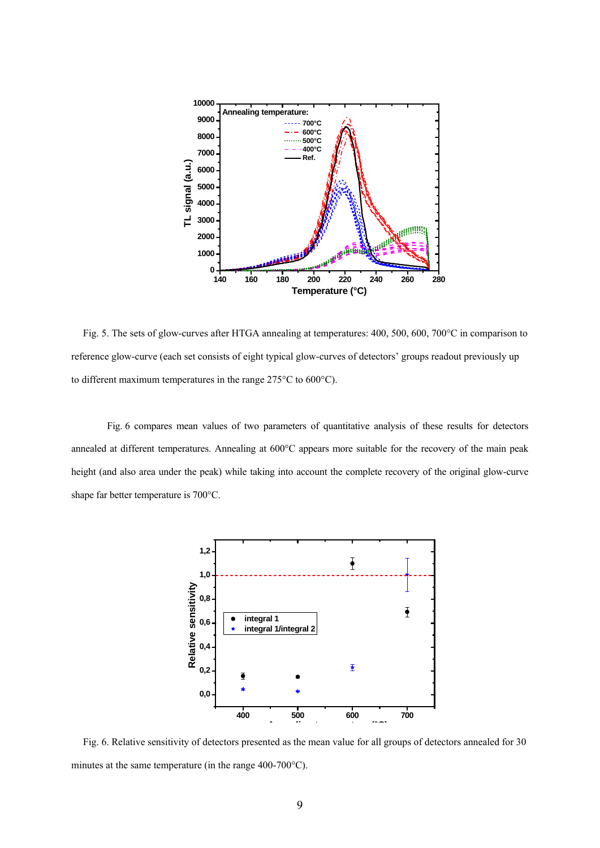

Fig. 5. The sets of glow-curves after HTGA annealing at temperatures: 400, 500, 600, 700°C in comparison to reference glow-curve (each set consists of eight typical glow-curves of detectors' groups readout previously up to different maximum temperatures in the range 275°C to 600°C).

Fig. 6 compares mean values of two parameters of quantitative analysis of these results for detectors annealed at different temperatures. Annealing at 600°C appears more suitable for the recovery of the main peak height (and also area under the peak) while taking into account the complete recovery of the original glow-curve shape far better temperature is 700°C.



Fig. 6. Relative sensitivity of detectors presented as the mean value for all groups of detectors annealed for 30 minutes at the same temperature (in the range 400-700°C).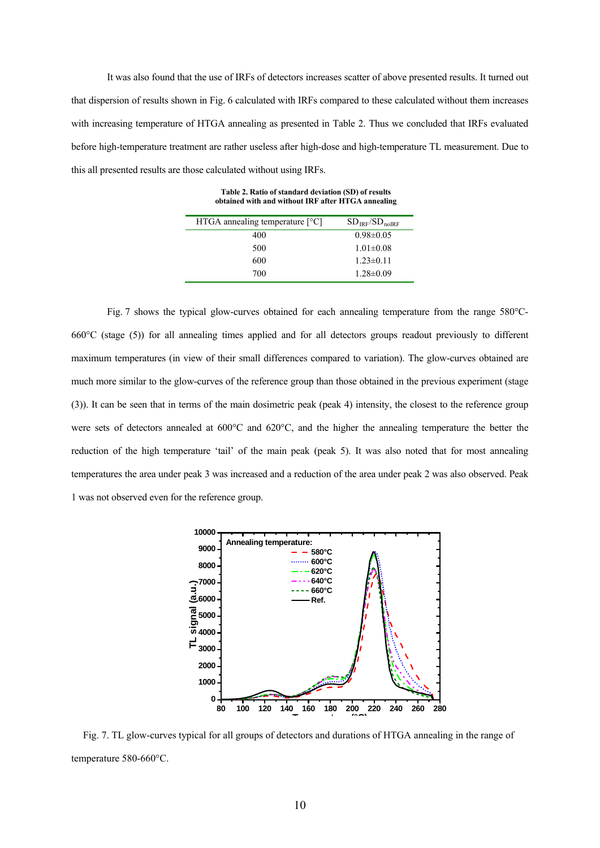It was also found that the use of IRFs of detectors increases scatter of above presented results. It turned out that dispersion of results shown in Fig. 6 calculated with IRFs compared to these calculated without them increases with increasing temperature of HTGA annealing as presented in Table 2. Thus we concluded that IRFs evaluated before high-temperature treatment are rather useless after high-dose and high-temperature TL measurement. Due to this all presented results are those calculated without using IRFs.

**Table 2. Ratio of standard deviation (SD) of results obtained with and without IRF after HTGA annealing** 

| HTGA annealing temperature $[°C]$ | $SD_{IRF}/SD_{n0IRF}$ |
|-----------------------------------|-----------------------|
| 400                               | $0.98 \pm 0.05$       |
| 500                               | $1.01 \pm 0.08$       |
| 600                               | $1.23 \pm 0.11$       |
| 700                               | $1.28 \pm 0.09$       |

Fig. 7 shows the typical glow-curves obtained for each annealing temperature from the range 580°C-660°C (stage (5)) for all annealing times applied and for all detectors groups readout previously to different maximum temperatures (in view of their small differences compared to variation). The glow-curves obtained are much more similar to the glow-curves of the reference group than those obtained in the previous experiment (stage (3)). It can be seen that in terms of the main dosimetric peak (peak 4) intensity, the closest to the reference group were sets of detectors annealed at 600°C and 620°C, and the higher the annealing temperature the better the reduction of the high temperature 'tail' of the main peak (peak 5). It was also noted that for most annealing temperatures the area under peak 3 was increased and a reduction of the area under peak 2 was also observed. Peak 1 was not observed even for the reference group.



Fig. 7. TL glow-curves typical for all groups of detectors and durations of HTGA annealing in the range of temperature 580-660°C.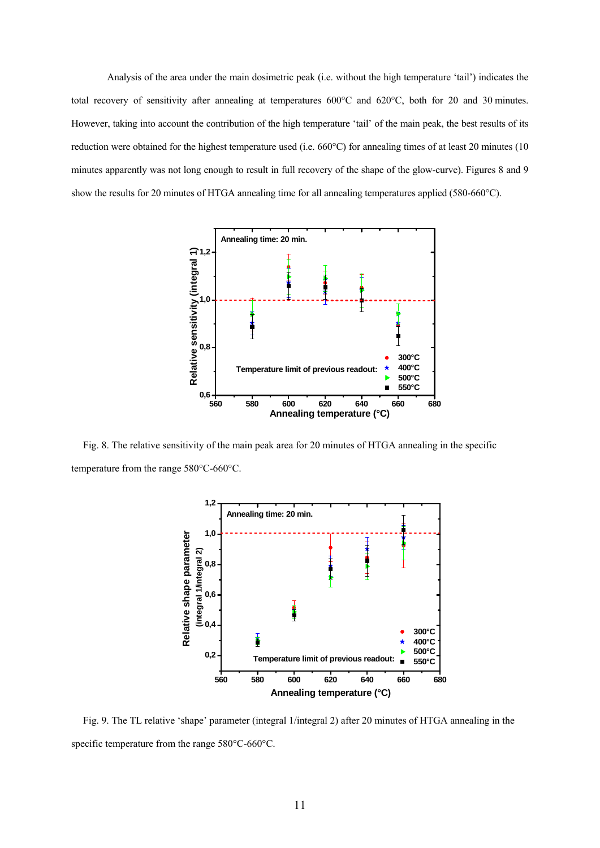Analysis of the area under the main dosimetric peak (i.e. without the high temperature 'tail') indicates the total recovery of sensitivity after annealing at temperatures 600°C and 620°C, both for 20 and 30 minutes. However, taking into account the contribution of the high temperature 'tail' of the main peak, the best results of its reduction were obtained for the highest temperature used (i.e. 660°C) for annealing times of at least 20 minutes (10 minutes apparently was not long enough to result in full recovery of the shape of the glow-curve). Figures 8 and 9 show the results for 20 minutes of HTGA annealing time for all annealing temperatures applied (580-660°C).



Fig. 8. The relative sensitivity of the main peak area for 20 minutes of HTGA annealing in the specific temperature from the range 580°C-660°C.



Fig. 9. The TL relative 'shape' parameter (integral 1/integral 2) after 20 minutes of HTGA annealing in the specific temperature from the range 580°C-660°C.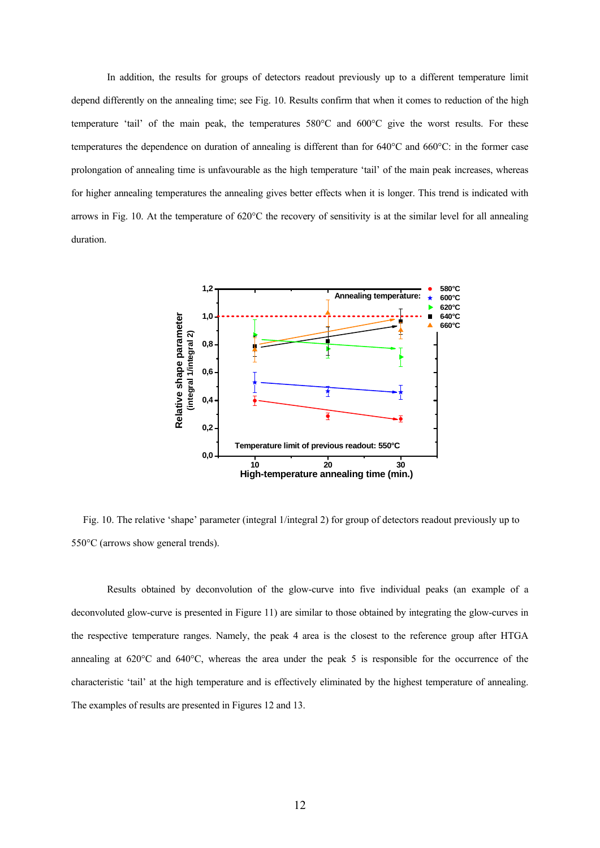In addition, the results for groups of detectors readout previously up to a different temperature limit depend differently on the annealing time; see Fig. 10. Results confirm that when it comes to reduction of the high temperature 'tail' of the main peak, the temperatures 580°C and 600°C give the worst results. For these temperatures the dependence on duration of annealing is different than for 640°C and 660°C: in the former case prolongation of annealing time is unfavourable as the high temperature 'tail' of the main peak increases, whereas for higher annealing temperatures the annealing gives better effects when it is longer. This trend is indicated with arrows in Fig. 10. At the temperature of 620°C the recovery of sensitivity is at the similar level for all annealing duration.



Fig. 10. The relative 'shape' parameter (integral 1/integral 2) for group of detectors readout previously up to 550°C (arrows show general trends).

Results obtained by deconvolution of the glow-curve into five individual peaks (an example of a deconvoluted glow-curve is presented in Figure 11) are similar to those obtained by integrating the glow-curves in the respective temperature ranges. Namely, the peak 4 area is the closest to the reference group after HTGA annealing at 620°C and 640°C, whereas the area under the peak 5 is responsible for the occurrence of the characteristic 'tail' at the high temperature and is effectively eliminated by the highest temperature of annealing. The examples of results are presented in Figures 12 and 13.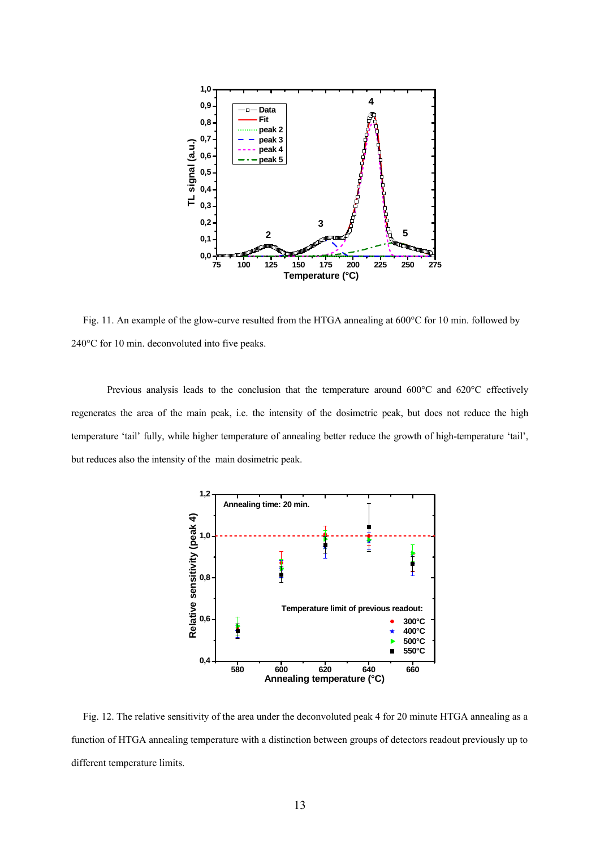

Fig. 11. An example of the glow-curve resulted from the HTGA annealing at 600°C for 10 min. followed by 240°C for 10 min. deconvoluted into five peaks.

Previous analysis leads to the conclusion that the temperature around 600°C and 620°C effectively regenerates the area of the main peak, i.e. the intensity of the dosimetric peak, but does not reduce the high temperature 'tail' fully, while higher temperature of annealing better reduce the growth of high-temperature 'tail', but reduces also the intensity of the main dosimetric peak.



Fig. 12. The relative sensitivity of the area under the deconvoluted peak 4 for 20 minute HTGA annealing as a function of HTGA annealing temperature with a distinction between groups of detectors readout previously up to different temperature limits.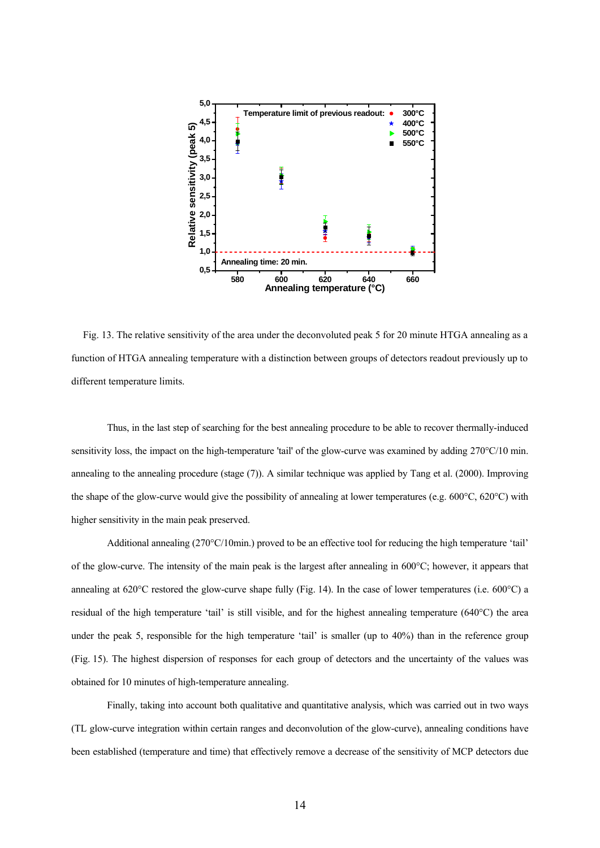

Fig. 13. The relative sensitivity of the area under the deconvoluted peak 5 for 20 minute HTGA annealing as a function of HTGA annealing temperature with a distinction between groups of detectors readout previously up to different temperature limits.

Thus, in the last step of searching for the best annealing procedure to be able to recover thermally-induced sensitivity loss, the impact on the high-temperature 'tail' of the glow-curve was examined by adding 270°C/10 min. annealing to the annealing procedure (stage (7)). A similar technique was applied by Tang et al. (2000). Improving the shape of the glow-curve would give the possibility of annealing at lower temperatures (e.g. 600°C, 620°C) with higher sensitivity in the main peak preserved.

Additional annealing (270°C/10min.) proved to be an effective tool for reducing the high temperature 'tail' of the glow-curve. The intensity of the main peak is the largest after annealing in 600°C; however, it appears that annealing at  $620^{\circ}$ C restored the glow-curve shape fully (Fig. 14). In the case of lower temperatures (i.e.  $600^{\circ}$ C) a residual of the high temperature 'tail' is still visible, and for the highest annealing temperature (640°C) the area under the peak 5, responsible for the high temperature 'tail' is smaller (up to 40%) than in the reference group (Fig. 15). The highest dispersion of responses for each group of detectors and the uncertainty of the values was obtained for 10 minutes of high-temperature annealing.

Finally, taking into account both qualitative and quantitative analysis, which was carried out in two ways (TL glow-curve integration within certain ranges and deconvolution of the glow-curve), annealing conditions have been established (temperature and time) that effectively remove a decrease of the sensitivity of MCP detectors due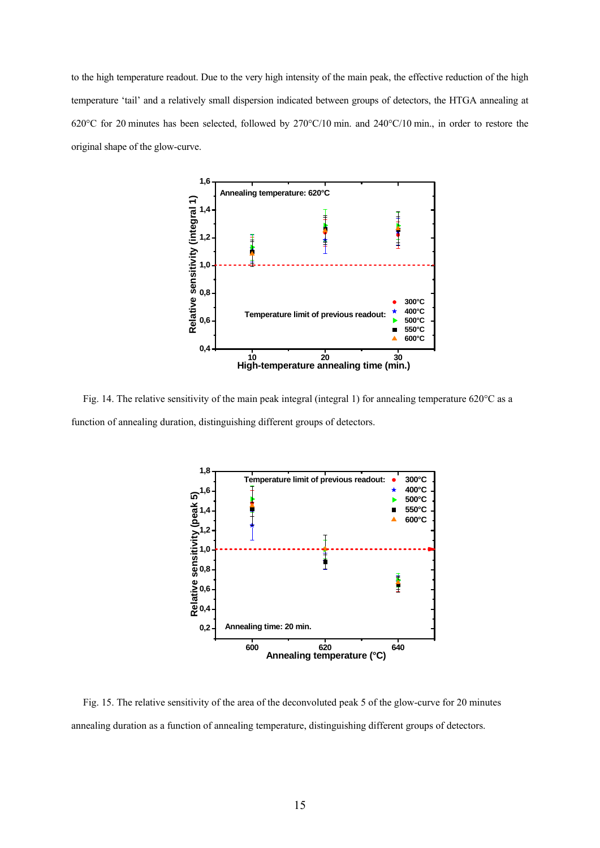to the high temperature readout. Due to the very high intensity of the main peak, the effective reduction of the high temperature 'tail' and a relatively small dispersion indicated between groups of detectors, the HTGA annealing at 620°C for 20 minutes has been selected, followed by 270°C/10 min. and 240°C/10 min., in order to restore the original shape of the glow-curve.



Fig. 14. The relative sensitivity of the main peak integral (integral 1) for annealing temperature 620°C as a function of annealing duration, distinguishing different groups of detectors.



Fig. 15. The relative sensitivity of the area of the deconvoluted peak 5 of the glow-curve for 20 minutes annealing duration as a function of annealing temperature, distinguishing different groups of detectors.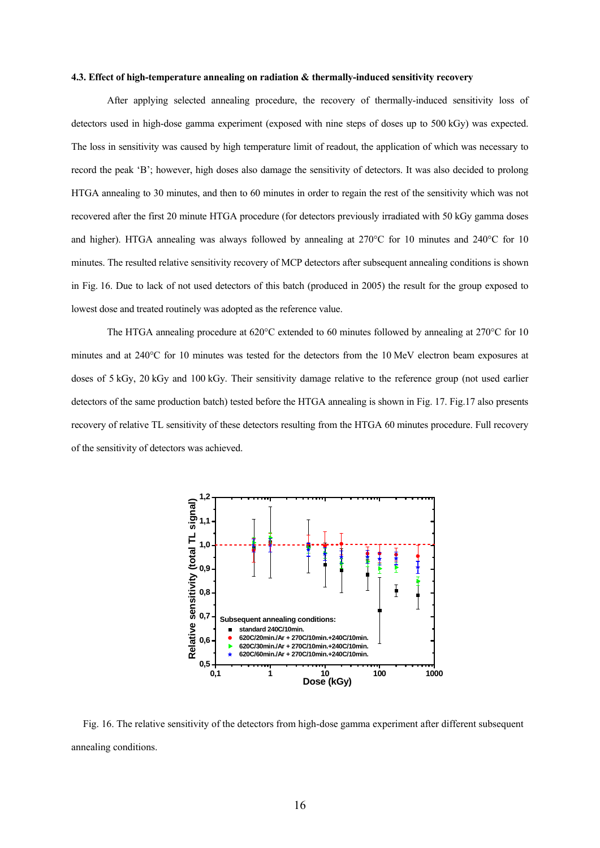### **4.3. Effect of high-temperature annealing on radiation & thermally-induced sensitivity recovery**

After applying selected annealing procedure, the recovery of thermally-induced sensitivity loss of detectors used in high-dose gamma experiment (exposed with nine steps of doses up to 500 kGy) was expected. The loss in sensitivity was caused by high temperature limit of readout, the application of which was necessary to record the peak 'B'; however, high doses also damage the sensitivity of detectors. It was also decided to prolong HTGA annealing to 30 minutes, and then to 60 minutes in order to regain the rest of the sensitivity which was not recovered after the first 20 minute HTGA procedure (for detectors previously irradiated with 50 kGy gamma doses and higher). HTGA annealing was always followed by annealing at 270°C for 10 minutes and 240°C for 10 minutes. The resulted relative sensitivity recovery of MCP detectors after subsequent annealing conditions is shown in Fig. 16. Due to lack of not used detectors of this batch (produced in 2005) the result for the group exposed to lowest dose and treated routinely was adopted as the reference value.

The HTGA annealing procedure at 620°C extended to 60 minutes followed by annealing at 270°C for 10 minutes and at 240°C for 10 minutes was tested for the detectors from the 10 MeV electron beam exposures at doses of 5 kGy, 20 kGy and 100 kGy. Their sensitivity damage relative to the reference group (not used earlier detectors of the same production batch) tested before the HTGA annealing is shown in Fig. 17. Fig.17 also presents recovery of relative TL sensitivity of these detectors resulting from the HTGA 60 minutes procedure. Full recovery of the sensitivity of detectors was achieved.



Fig. 16. The relative sensitivity of the detectors from high-dose gamma experiment after different subsequent annealing conditions.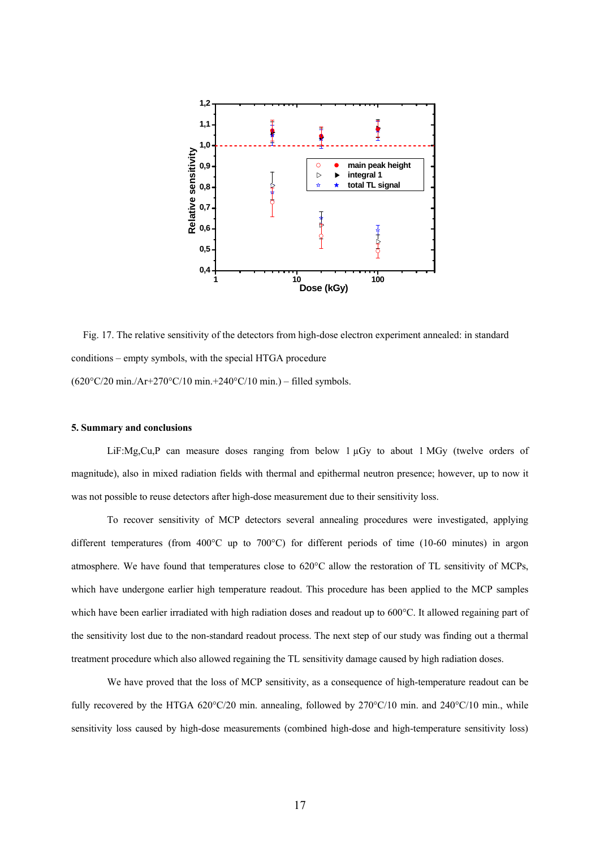

Fig. 17. The relative sensitivity of the detectors from high-dose electron experiment annealed: in standard conditions – empty symbols, with the special HTGA procedure (620°C/20 min./Ar+270°C/10 min.+240°C/10 min.) – filled symbols.

## **5. Summary and conclusions**

LiF:Mg,Cu,P can measure doses ranging from below 1 µGy to about 1 MGy (twelve orders of magnitude), also in mixed radiation fields with thermal and epithermal neutron presence; however, up to now it was not possible to reuse detectors after high-dose measurement due to their sensitivity loss.

To recover sensitivity of MCP detectors several annealing procedures were investigated, applying different temperatures (from 400°C up to 700°C) for different periods of time (10-60 minutes) in argon atmosphere. We have found that temperatures close to 620°C allow the restoration of TL sensitivity of MCPs, which have undergone earlier high temperature readout. This procedure has been applied to the MCP samples which have been earlier irradiated with high radiation doses and readout up to 600°C. It allowed regaining part of the sensitivity lost due to the non-standard readout process. The next step of our study was finding out a thermal treatment procedure which also allowed regaining the TL sensitivity damage caused by high radiation doses.

We have proved that the loss of MCP sensitivity, as a consequence of high-temperature readout can be fully recovered by the HTGA 620°C/20 min. annealing, followed by 270°C/10 min. and 240°C/10 min., while sensitivity loss caused by high-dose measurements (combined high-dose and high-temperature sensitivity loss)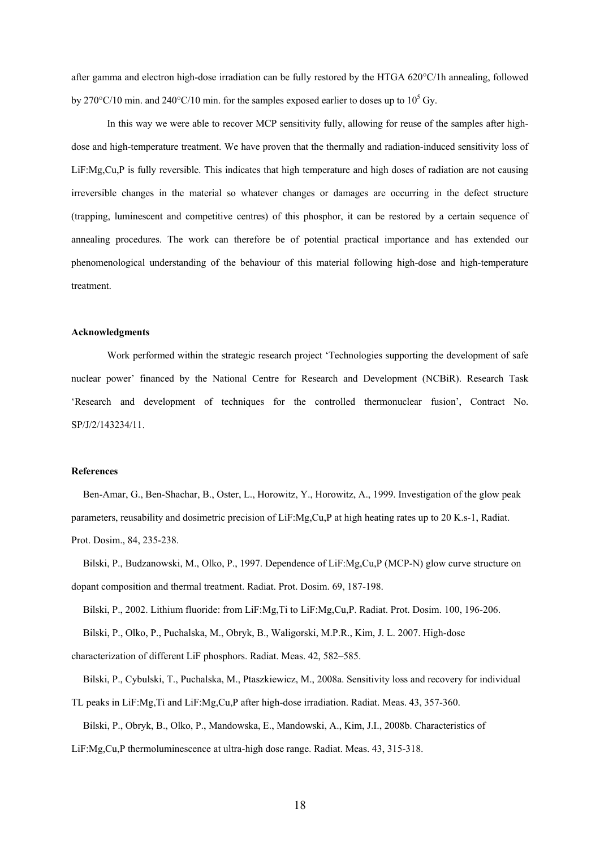after gamma and electron high-dose irradiation can be fully restored by the HTGA 620°C/1h annealing, followed by 270°C/10 min. and 240°C/10 min. for the samples exposed earlier to doses up to  $10^5$  Gy.

In this way we were able to recover MCP sensitivity fully, allowing for reuse of the samples after highdose and high-temperature treatment. We have proven that the thermally and radiation-induced sensitivity loss of LiF:Mg,Cu,P is fully reversible. This indicates that high temperature and high doses of radiation are not causing irreversible changes in the material so whatever changes or damages are occurring in the defect structure (trapping, luminescent and competitive centres) of this phosphor, it can be restored by a certain sequence of annealing procedures. The work can therefore be of potential practical importance and has extended our phenomenological understanding of the behaviour of this material following high-dose and high-temperature treatment.

#### **Acknowledgments**

Work performed within the strategic research project 'Technologies supporting the development of safe nuclear power' financed by the National Centre for Research and Development (NCBiR). Research Task 'Research and development of techniques for the controlled thermonuclear fusion', Contract No. SP/J/2/143234/11.

#### **References**

Ben-Amar, G., Ben-Shachar, B., Oster, L., Horowitz, Y., Horowitz, A., 1999. Investigation of the glow peak parameters, reusability and dosimetric precision of LiF:Mg,Cu,P at high heating rates up to 20 K.s-1, Radiat. Prot. Dosim., 84, 235-238.

Bilski, P., Budzanowski, M., Olko, P., 1997. Dependence of LiF:Mg,Cu,P (MCP-N) glow curve structure on dopant composition and thermal treatment. Radiat. Prot. Dosim. 69, 187-198.

Bilski, P., 2002. Lithium fluoride: from LiF:Mg,Ti to LiF:Mg,Cu,P. Radiat. Prot. Dosim. 100, 196-206.

Bilski, P., Olko, P., Puchalska, M., Obryk, B., Waligorski, M.P.R., Kim, J. L. 2007. High-dose

characterization of different LiF phosphors. Radiat. Meas. 42, 582–585.

Bilski, P., Cybulski, T., Puchalska, M., Ptaszkiewicz, M., 2008a. Sensitivity loss and recovery for individual TL peaks in LiF:Mg,Ti and LiF:Mg,Cu,P after high-dose irradiation. Radiat. Meas. 43, 357-360. Bilski, P., Obryk, B., Olko, P., Mandowska, E., Mandowski, A., Kim, J.I., 2008b. Characteristics of

LiF:Mg,Cu,P thermoluminescence at ultra-high dose range. Radiat. Meas. 43, 315-318.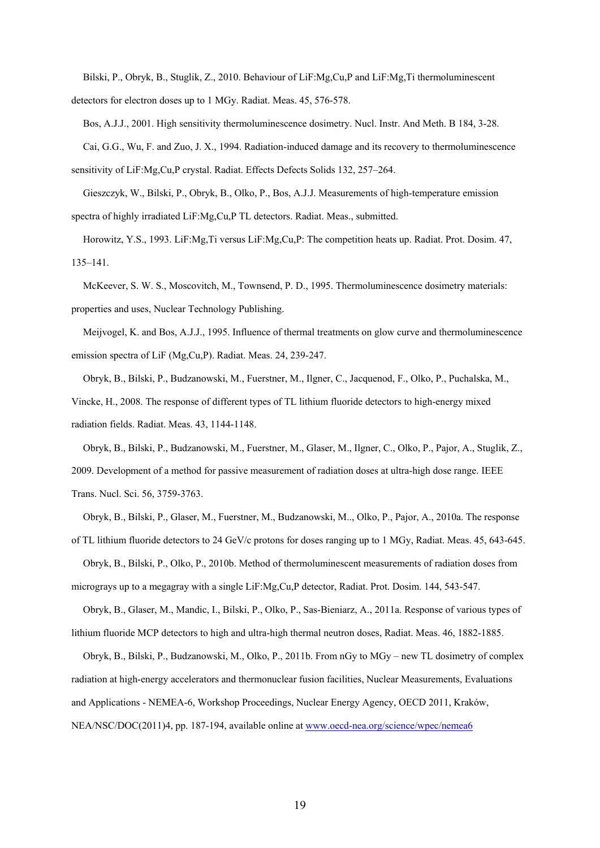Bilski, P., Obryk, B., Stuglik, Z., 2010. Behaviour of LiF:Mg,Cu,P and LiF:Mg,Ti thermoluminescent detectors for electron doses up to 1 MGy. Radiat. Meas. 45, 576-578.

Bos, A.J.J., 2001. High sensitivity thermoluminescence dosimetry. Nucl. Instr. And Meth. B 184, 3-28. Cai, G.G., Wu, F. and Zuo, J. X., 1994. Radiation-induced damage and its recovery to thermoluminescence sensitivity of LiF:Mg,Cu,P crystal. Radiat. Effects Defects Solids 132, 257–264.

Gieszczyk, W., Bilski, P., Obryk, B., Olko, P., Bos, A.J.J. Measurements of high-temperature emission spectra of highly irradiated LiF:Mg,Cu,P TL detectors. Radiat. Meas., submitted.

Horowitz, Y.S., 1993. LiF:Mg,Ti versus LiF:Mg,Cu,P: The competition heats up. Radiat. Prot. Dosim. 47, 135–141.

McKeever, S. W. S., Moscovitch, M., Townsend, P. D., 1995. Thermoluminescence dosimetry materials: properties and uses, Nuclear Technology Publishing.

Meijvogel, K. and Bos, A.J.J., 1995. Influence of thermal treatments on glow curve and thermoluminescence emission spectra of LiF (Mg,Cu,P). Radiat. Meas. 24, 239-247.

Obryk, B., Bilski, P., Budzanowski, M., Fuerstner, M., Ilgner, C., Jacquenod, F., Olko, P., Puchalska, M., Vincke, H., 2008. The response of different types of TL lithium fluoride detectors to high-energy mixed radiation fields. Radiat. Meas. 43, 1144-1148.

Obryk, B., Bilski, P., Budzanowski, M., Fuerstner, M., Glaser, M., Ilgner, C., Olko, P., Pajor, A., Stuglik, Z., 2009. Development of a method for passive measurement of radiation doses at ultra-high dose range. IEEE Trans. Nucl. Sci. 56, 3759-3763.

Obryk, B., Bilski, P., Glaser, M., Fuerstner, M., Budzanowski, M.., Olko, P., Pajor, A., 2010a. The response of TL lithium fluoride detectors to 24 GeV/c protons for doses ranging up to 1 MGy, Radiat. Meas. 45, 643-645.

Obryk, B., Bilski, P., Olko, P., 2010b. Method of thermoluminescent measurements of radiation doses from micrograys up to a megagray with a single LiF:Mg,Cu,P detector, Radiat. Prot. Dosim. 144, 543-547.

Obryk, B., Glaser, M., Mandic, I., Bilski, P., Olko, P., Sas-Bieniarz, A., 2011a. Response of various types of lithium fluoride MCP detectors to high and ultra-high thermal neutron doses, Radiat. Meas. 46, 1882-1885.

Obryk, B., Bilski, P., Budzanowski, M., Olko, P., 2011b. From nGy to MGy – new TL dosimetry of complex radiation at high-energy accelerators and thermonuclear fusion facilities, Nuclear Measurements, Evaluations and Applications - NEMEA-6, Workshop Proceedings, Nuclear Energy Agency, OECD 2011, Kraków, NEA/NSC/DOC(2011)4, pp. 187-194, available online at [www.oecd-nea.org/science/wpec/nemea6](http://www.oecd-nea.org/science/wpec/nemea6)